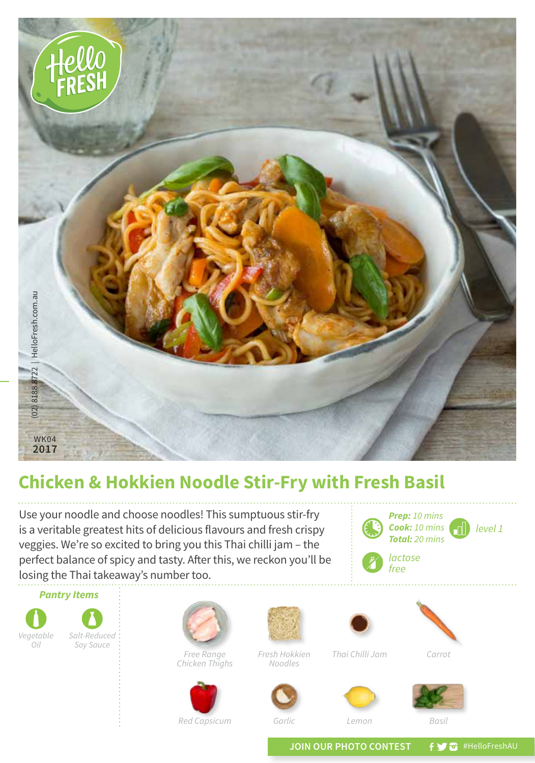

## **Chicken & Hokkien Noodle Stir-Fry with Fresh Basil**

Use your noodle and choose noodles! This sumptuous stir-fry is a veritable greatest hits of delicious flavours and fresh crispy veggies. We're so excited to bring you this Thai chilli jam – the perfect balance of spicy and tasty. After this, we reckon you'll be losing the Thai takeaway's number too.



JOIN OUR PHOTO CONTEST **f y** a #HelloFreshAU

*Red Capsicum Garlic Lemon Basil*

*level 1*

*Prep: 10 mins Cook: 10 mins Total: 20 mins*

*lactose free*